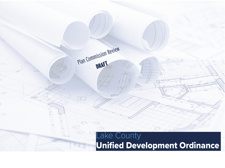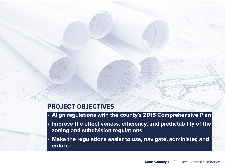## PROJECT OBJECTIVES

 $\bigcirc$ 

 $\circ$ 

**• Align regulations with the county's 2018 Comprehensive Plan • Improve the effectiveness, efficiency, and predictability of the zoning and subdivision regulations**

**• Make the regulations easier to use, navigate, administer, and enforce**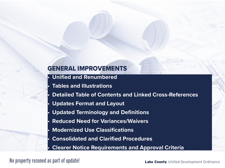## GENERAL IMPROVEMENTS

**• Unified and Renumbered • Tables and Illustrations • Detailed Table of Contents and Linked Cross-References • Updates Format and Layout • Updated Terminology and Definitions • Reduced Need for Variances/Waivers • Modernized Use Classifications • Consolidated and Clarified Procedures • Clearer Notice Requirements and Approval Criteria**

 $\bigcirc$ 

 $\circ$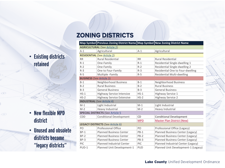## **• Existing districts retained**

# **• New flexible MPD district**

 $\circ$ 

 $\circ$ 

**• Unused and obsolete districts become "legacy districts"** 

### $\overline{\phantom{a}}$ *Table 1-1: Zoning District Name Conversions* ZONING DISTRICTS

to all applicable regulations of Article 19.

|            | Map Symbol Previous Zoning District Name Map Symbol New Zoning District Name |            |                                      |
|------------|------------------------------------------------------------------------------|------------|--------------------------------------|
|            | <b>AGRICULTURAL (See Article 2)</b>                                          |            |                                      |
| $A-1$      | Agricultural                                                                 | $A-1$      | Agricultural                         |
|            | <b>RESIDENTIAL (See Article 2)</b>                                           |            |                                      |
| <b>RR</b>  | <b>Rural Residential</b>                                                     | <b>RR</b>  | <b>Rural Residential</b>             |
| $R-1$      | One-Family                                                                   | $R-1$      | Residential Single-dwelling 1        |
| $R-2$      | One-Family                                                                   | $R-2$      | <b>Residential Single-dwelling 2</b> |
| $R-3$      | One to Four-Family                                                           | $R-3$      | Residential One to Four-dwelling     |
| $R-5$      | Multiple-Family                                                              | $R-5$      | <b>Residential Multi-dwelling</b>    |
|            | <b>BUSINESS (See Article 3)</b>                                              |            |                                      |
| $B-1$      | Neighborhood Business                                                        | $B-1$      | <b>Neighborhood Business</b>         |
| $B-2$      | <b>Rural Business</b>                                                        | $B-2$      | <b>Rural Business</b>                |
| $B-3$      | <b>General Business</b>                                                      | $B-3$      | <b>General Business</b>              |
| $HS-1$     | <b>Highway Service Intensive</b>                                             | $HS-1$     | <b>Highway Service 1</b>             |
| $HS-2$     | <b>Highway Service Extensive</b>                                             | $HS-2$     | <b>Highway Service 2</b>             |
|            | <b>INDUSTRIAL</b> (See Article 4)                                            |            |                                      |
| $M-1$      | Light Industrial                                                             | $M-1$      | Light Industrial                     |
| $M-2$      | <b>Heavy Industrial</b>                                                      | $M-2$      | <b>Heavy Industrial</b>              |
|            | <b>SPECIAL DISTRICTS (See Article 5</b>                                      |            |                                      |
| <b>CDD</b> | <b>Conditional Development</b>                                               | <b>CD</b>  | <b>Conditional Development</b>       |
|            |                                                                              | <b>MPD</b> | <b>Master Plan District (New)</b>    |
|            | <b>LEGACY DISTRICTS (See Article 6)</b>                                      |            |                                      |
| PO         | <b>Professional Office</b>                                                   | PO         | Professional Office (Legacy)         |
| $BP-1$     | <b>Planned Business Center</b>                                               | $PB-1$     | Planned Business Center (Legacy)     |
| $BP-2$     | <b>Planned Business Center</b>                                               | $PB-2$     | Planned Business Center (Legacy)     |
| $BP-3$     | <b>Planned Business Center</b>                                               | $PB-3$     | Planned Business Center (Legacy)     |
| <b>PIC</b> | <b>Planned Industrial Center</b>                                             | PIC        | Planned Industrial Center (Legacy)   |
| $PUD-1$    | Planned Unit Development-1                                                   | <b>PUD</b> | Planned Unit Development-1 (Legacy)  |

amendment. A lawfully established existing use that is not allowed as a special exception of  $\mathbb{R}^n$ in the district in which the use is now located will be considered a non-conforming use and will be subjected with  $\alpha$ 

The zoning district names in effect before the effective date specified in 154-1-030 are converted in this UDO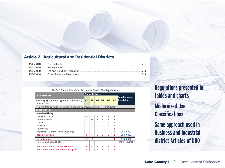#### opportunities for individual households and to maintain and promote the desired physical character of residential and residential Districts primarily accommodate residential uses, some

 $\sim$  1

 $\circ$ 

 $\circ$ 

zoning districts or "R" districts, it is referring to all these districts.

and farming as economically desirable businesses and a key determinant of the county's rural character.

 $\mathcal{L}$  residential zoning districts are listed in Table 2-1. When this UDO refers to  $\mathcal{L}$ 

*Table 2-1: Residential (R) Zoning Districts*

**R-1** Residential Single-dwelling 1 **R-2** Residential Single-dwelling 2 **R-3** Residential One to Four-dwelling

R zoning districts are primarily intended to create, maintain, and promote a variety of housing

| Table 2-2: Agricultural and Residential District Use Regulations |  |  |  |
|------------------------------------------------------------------|--|--|--|
|------------------------------------------------------------------|--|--|--|

 $\frac{1}{2}$ 

|                                                                                               | <b>Zoning Districts</b> |                |                |       |       |       |                                           |
|-----------------------------------------------------------------------------------------------|-------------------------|----------------|----------------|-------|-------|-------|-------------------------------------------|
| <b>USE CATEGORY</b><br><b>Subcategory</b> (clickable hyperlink to definition)<br>Specific use | $A-1$                   | <b>RR</b>      | $R-1$          | $R-2$ | $R-3$ | $R-5$ | <b>Supplemental</b><br><b>Regulations</b> |
| $P =$ permitted by-right   S = special exception approval required   $-$ = prohibited         |                         |                |                |       |       |       |                                           |
| <b>RESIDENTIAL</b>                                                                            |                         |                |                |       |       |       |                                           |
| <b>Household Living</b>                                                                       |                         |                |                |       |       |       |                                           |
| Detached house                                                                                | P                       | P              | P              | P     | P     | P     |                                           |
| Two-unit house                                                                                | S                       | —              |                | S     | P     | P     |                                           |
| <b>Triplex</b>                                                                                | -                       |                |                |       | P     | P     |                                           |
| Fourplex                                                                                      | -                       |                |                |       | P     | P     |                                           |
| Townhouse                                                                                     | -                       | -              |                |       | P     | P     |                                           |
| Apartment (5 or more dwelling units)                                                          | -                       |                |                |       |       | P     | 154-8-020                                 |
| <b>Backyard cottage</b>                                                                       | <u>s</u>                | <u>s</u>       | S              | S.    | S     | S     | 154-9-030                                 |
| <b>Secondary Suite</b>                                                                        | P                       | P              | $\overline{P}$ | P     | P     | P     | 154-9-040                                 |
| Recreational vehicle park                                                                     |                         | -<br>–         |                |       |       | Ξ     | MPD required                              |
| Short-term rental, owner-occupied <sup>1</sup>                                                | P                       | P              | P              | P     | P     | P     |                                           |
| Short-term rental, non-owner-occupied                                                         | S                       | $\overline{S}$ | <u>s</u>       | S     | S     | S     |                                           |

**Regulations presented in tables and charts**

**Modernized Use Classifications**

**Same approach used in Business and Industrial district Articles of UDO**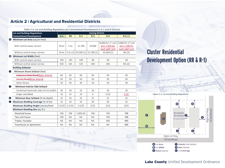#### subdivision regulations of 154-12-220. See Article 21 for general exceptions to these lot and building ticle 2 | Agricultural and Residential Districts

 $T$  following notes refer to the bracketed numbers (e.g.,  $T$  ) in Table 2-3:  $T$ [1] Unless greater minimum lot area required by Lake County Health Department. [2] Central sewer service is required for all development in the R-5 district. [3] No interior side setback is required between attached townhouse units. [4] Minimum dwelling size is 1,350 square feet if house is more than one story.

 $\circ$ 

 $\circ$ 

**USE CATEGORY Zoning Districts**

| Table 2-3: Lot and Building Regulations for Conventional Development in A-1 and R Districts |           |           |                                            |                        |                                   |                                   |  |
|---------------------------------------------------------------------------------------------|-----------|-----------|--------------------------------------------|------------------------|-----------------------------------|-----------------------------------|--|
| Lot and Building Regulations                                                                |           |           |                                            | <b>Zoning District</b> |                                   |                                   |  |
| <b>Conventional Development</b>                                                             | $A-1$     | <b>RR</b> | $R-1$                                      | $R-2$                  | $R-3$                             | $R-5$ [2]                         |  |
| <b>O</b> Minimum Lot Area (square feet)                                                     |           |           |                                            |                        |                                   |                                   |  |
| With central sewer service                                                                  | 20 Ac     | 5 Ac      |                                            |                        | 8,800 for 1st unit                | 8,800 for $1st$ unit              |  |
|                                                                                             |           |           | 21,780                                     | 10,000                 | plus 2,200 per<br>each add'l unit | plus 1,200 for<br>each add'l unit |  |
| Without central sewer service                                                               |           |           | 20 Ac   5 Ac [1]   43,560 [1]   21,780 [1] |                        | 43,560 [1]                        | <b>NA</b> [2]                     |  |
| Minimum Lot Width (feet)<br>$\bf \bm \omega$                                                |           |           |                                            |                        |                                   |                                   |  |
| With central sewer service                                                                  | 330       | 165       | 100                                        | 80                     | 60                                | 60                                |  |
| Without central sewer service                                                               | 330       | 165       | 120                                        | 100                    | 100                               | <b>NA</b> [2]                     |  |
| <b>Building Setbacks</b>                                                                    |           |           |                                            |                        |                                   |                                   |  |
| Minimum Street Setback (feet)<br>G                                                          |           |           |                                            |                        |                                   |                                   |  |
| Federal or State RoadMajor Arterial                                                         | 60        | 60        | 60                                         | 60                     | 60                                | 60                                |  |
| <b>County RoadMinor Arterial</b>                                                            | 50        | 50        | 50                                         | 50                     | 50                                | 50                                |  |
| <b>Other Street</b>                                                                         | 30        | 30        | 30                                         | 30                     | 30                                | 30                                |  |
| O<br><b>Minimum Interior Side Setback</b>                                                   |           |           |                                            |                        |                                   |                                   |  |
| Combined total both sides (% lot width)                                                     | 30        | 30        | 25                                         | 20                     | 20                                | 20                                |  |
| Single side (feet)                                                                          | 10        | 25        | 10                                         | 6                      | 6[3]                              | 6[3]                              |  |
| Minimum Rear Setback (% lot depth)<br>®                                                     | 25        | 20        | 25                                         | 25                     | 25                                | 25                                |  |
| $\bullet$<br>Maximum Building Coverage (% of lot)                                           | 25        | 20        | 35                                         | 40                     | 40                                | 35                                |  |
| Maximum Building Height (stories/feet)                                                      | 2.5/35    | 2.5/35    | 2.5/35                                     | 2/25                   | 2/25                              | 3/35                              |  |
| Minimum Dwelling Size (sq. ft.)                                                             |           |           |                                            |                        |                                   |                                   |  |
| Detached house                                                                              | 768       | 768       | 1,000[4]                                   | 768                    | 768                               | 768                               |  |
| Two-unit house                                                                              | 768       | <b>NA</b> | <b>NA</b>                                  | <b>NA</b>              | 768                               | 768                               |  |
| Triplex, Fourplex                                                                           | <b>NA</b> | <b>NA</b> | <b>NA</b>                                  | <b>NA</b>              | 400                               | 400                               |  |
| <b>Townhouse or Apartment</b>                                                               | <b>NA</b> | <b>NA</b> | <b>NA</b>                                  | <b>NA</b>              | <b>NA</b>                         | 400                               |  |
|                                                                                             |           |           |                                            |                        |                                   |                                   |  |

*Table 2-2: Agricultural and Residential District Use Regulations*

**Subcategory** (clickable hyperlink to definition) **Regulations**

uses in A-1 and R districts, except that property owners in RR and R and R and R and R and R and R and R and R  $u_1, u_2, u_3, u_4, u_5, u_6, u_7, u_8, u_9, u_{10}$ 

### **R R Minimum Reach add'I unit Cluster Residential Cluster Residential Development Option (RR & R-1)**

Without central sewer sewer sewer sewer sewer sewer sewer sewer sewer sewer sewer sewer sewer sewer sewer sewer

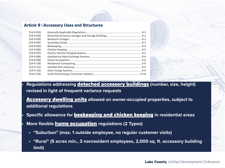#### **Article 9 | Accessory Uses and Structures**

 $\bigcirc$ 

revised in light of frequent variance requests<sup>.</sup> **• Regulations addressing** detached accessory buildings **(number, size, height)** 

**Accessory dwelling units** allowed on owner-occupied properties, subject to <sup>or</sup> that satisfy all the following criteria: They are customarily found in conjunction with the subject principal use or principal structure; **additional regulations**

They are subset and clearly incidental to the principal use of the principal use of the principal use of the principal use of the principal use of the principal use of the principal use of the principal use of the princip They serve a necessary function for or contribute to the comfort, safety, or convenience of occupants of **• Specific allowance for** beekeeping and chicken keeping **in residential areas**

**• More flexible** home occupation **regulations (2 Types)**

- Accessory buildings may be established in conjunction with or after the principal building or use. They **• "Suburban" (max. 1 outside employee, no regular customer visits)**
- Accessory uses and structures must be located on the same lot as the principal use to which they are accessory, unless otherwise expressly stated. **limit)• "Rural" (5 acres min., 3 nonresident employees, 2,000 sq. ft. accessory building**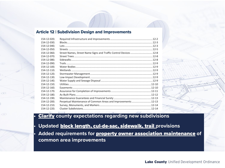### **Article 12 | Subdivision Design and Improvements**

 $\bigcirc$ 

(9)

| 154-12-020. |                                                                 |
|-------------|-----------------------------------------------------------------|
| 154-12-030. |                                                                 |
| 154-12-040. |                                                                 |
| 154-12-050. |                                                                 |
| 154-12-060. | Street Names, Street Name Signs and Traffic Control Devices12-8 |
| 154-12-070. |                                                                 |
| 154-12-080. |                                                                 |
| 154-12-090. |                                                                 |
| 154-12-100. |                                                                 |
| 154-12-110. |                                                                 |
| 154-12-120. |                                                                 |
| 154-12-130. |                                                                 |
| 154-12-140. |                                                                 |
| 154-12-150. |                                                                 |
| 154-12-160. |                                                                 |
| 154-12-170. |                                                                 |
| 154-12-180. |                                                                 |
| 154-12-190. |                                                                 |
| 154-12-200. | Perpetual Maintenance of Common Areas and Improvements 12-13    |
| 154-12-210. |                                                                 |
| 154-12-220. |                                                                 |
|             |                                                                 |

### • Clarify **county expectations regarding new subdivisions**

The regulations of this article establish requirements for designing subdivisions and installing infrastructure and improvements within the jurisdiction of this UDO. These regulations are intended to advance the general **• Updated** block length, cul-de-sac, sidewalk, trail **provisions** • Added requirements for **<u>property owner association maintenance</u> o**f common area improvements

Lake County Unified Development Ordinance subdivision to be subject to the comprehensive plan and related county policies for the orderly, planned,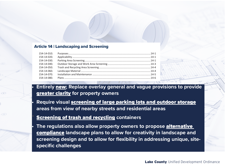#### **Article 14 | Landscaping and Screening**

 $\bigcirc$ 

| 154-14-020. |  |
|-------------|--|
| 154-14-030. |  |
| 154-14-040. |  |
| 154-14-050. |  |
| 154-14-060. |  |
| 154-14-070. |  |
|             |  |
|             |  |

The regulations of this article establish minimum requirements for landscaping and screening. The regulations are **greater clarity** for property owners **• Entirely** new**; Replace overlay general and vague provisions to provide** 

Maintain and enhance the county's appearance; • Require visual <u>screening of large parking lots and outdoor storage</u> areas from view of nearby streets and residential areas

# **• Screening of trash and recycling** containers

• The regulations also allow property owners to propose **<u>alternative</u>** compliance landscape plans to allow for creativity in landscape and Encourage use of low-impact development practices. The landscape and screening regulations of this article apply as set forth in the individual sections of this article. **specific challenges**The following are expressed are exempt from compliance with the landscape and screening regulations of this article: **screening design and to allow for flexibility in addressing unique, site-**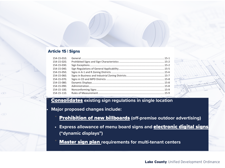#### **Article 15 | Signs**

 $\bigcirc$ 

 $\circ$ 

| 154-15-010. |  |
|-------------|--|
| 154-15-020. |  |
| 154-15-030. |  |
| 154-15-040. |  |
| 154-15-050. |  |
| 154-15-060. |  |
| 154-15-070. |  |
| 154-15-080. |  |
| 154-15-090. |  |
| 154-15-100. |  |
| 154-15-110. |  |
|             |  |

• Consolidates **existing sign regulations in single location**

- The sign regulations of this section are intended to balance the following differing, and at times, competing **• Major proposed changes include:**
	- Prohibition of new billboards (off-premise outdoor advertising)
	- Express allowance of menu board signs and <u>**electronic digital signs**</u>  $\frac{166}{100}$ To provide a means of wayfinding for visitors and residents; **("dynamic displays")**
	- Maetar sian nlan requirements for mul • Master sign plan **requirements for multi-tenant centers**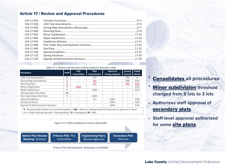#### 154-17-110. Zoning Variances...................................................................................................17-26 Article 17 | Review and Approval Procedures

| 154-17-010.        |                                                                                                                                                                                                                                      |  |
|--------------------|--------------------------------------------------------------------------------------------------------------------------------------------------------------------------------------------------------------------------------------|--|
| $154 - 17 - 020$ . |                                                                                                                                                                                                                                      |  |
| 154-17-030.        |                                                                                                                                                                                                                                      |  |
| 154-17-040.        |                                                                                                                                                                                                                                      |  |
| 154-17-050.        |                                                                                                                                                                                                                                      |  |
| 154-17-060.        |                                                                                                                                                                                                                                      |  |
| 154-17-070.        |                                                                                                                                                                                                                                      |  |
| 154-17-080.        |                                                                                                                                                                                                                                      |  |
| 154-17-090.        |                                                                                                                                                                                                                                      |  |
| 154-17-100.        |                                                                                                                                                                                                                                      |  |
| 154-17-110.        |                                                                                                                                                                                                                                      |  |
| 154-17-120.        |                                                                                                                                                                                                                                      |  |
|                    | <u>is a series of the series of the series of the series of the series of the series of the series of the series of the series of the series of the series of the series of the series of the series of the series of the series</u> |  |

*Table 17-1: Review and Decision-making Authority Summary Table*

| <b>Procedure</b>                    | <b>Staff</b>            | <b>Plat</b><br><b>Committee</b> | Plan<br><b>Commission</b> | <b>Board of</b><br><b>Zoning Appeals</b> | <b>County</b><br>Council | <b>Public</b><br><b>Notice</b> |
|-------------------------------------|-------------------------|---------------------------------|---------------------------|------------------------------------------|--------------------------|--------------------------------|
| <b>UDO Text Amendments</b>          | R                       |                                 | $<$ R $>$                 |                                          | <b>DM</b>                | N                              |
| <b>Zoning Map Amendments</b>        | R                       |                                 | $\leq R$                  |                                          | <b>DM</b>                | N, M                           |
| <b>Rezoning Plans</b>               | $\overline{\mathbf{R}}$ |                                 | $\leq R$                  |                                          | DM                       | <u>N,M</u>                     |
| <b>Minor Subdivisions</b>           | R                       | $<$ DM $>$                      |                           |                                          |                          | N, M                           |
| <b>Major Subdivisions</b>           | R                       |                                 | $<$ DM $>$                |                                          |                          | N, M                           |
| Administrative Site Plans           | <b>DM</b>               |                                 |                           |                                          |                          |                                |
| <b>Plan Commission Site Plans</b>   | R                       |                                 | $<$ DM $>$                |                                          |                          |                                |
| <b>Special Exceptions</b>           | -                       |                                 | $<$ R $>$                 | $<$ DM $>$                               |                          | N, M                           |
| <b>Zoning Variances</b>             |                         |                                 |                           | $<$ DM $>$                               |                          | N, M                           |
| Appeals of Administrative Decisions | -                       |                                 |                           | $<$ DM $>$                               |                          | N, M                           |

**R** = Review body (review and recommendation) | **DM** = Decision-making body (final decision to approve or deny) **<>** = Public hearing required | Hearing Notice: **N** = Newspaper; **M** = Mail

*Figure 17-3: Minor Subdivision Process (Generally)* Zoning Map Amendments R − <R> − DM N,M

Rezoning Plans R − <R> − DM N,M  $\overline{\phantom{a}}$  ,  $\overline{\phantom{a}}$  ,  $\overline{\phantom{a}}$  ,  $\overline{\phantom{a}}$  ,  $\overline{\phantom{a}}$  ,  $\overline{\phantom{a}}$  ,  $\overline{\phantom{a}}$  ,  $\overline{\phantom{a}}$  ,  $\overline{\phantom{a}}$  ,  $\overline{\phantom{a}}$  ,  $\overline{\phantom{a}}$  ,  $\overline{\phantom{a}}$  ,  $\overline{\phantom{a}}$  ,  $\overline{\phantom{a}}$  ,  $\overline{\phantom{a}}$  ,  $\overline{\phantom{a}}$ 

**Sketch Plan Review | Primary Plat: Plat | Engineering Plans: | Secondary Plat:** | **Administrative Committee Plans Director** Plans Director Plans Director Plans Director

procedures govern.

 $\bigcirc$ 

 $\circ$ 

**Primary Plat**: Plat Committee

**Procedure Staff Plat** 

**Engineering Plans:**  Review Agencies

Plan Commission Site Plans R − <DM> − − − **Secondary Plat: Director** 

**Council**

Special Exceptions − N, MM − N, MM − N, MM − N, MM − N, MM − N, MM − N, MM − N, MM − N, MM − N, MM − N, MM − N, Primary Plat Hearing Notice: Newspaper and Mailed  $\mathcal{A}=\{A,B,A,B\}$  of  $A,B,B\in\mathcal{A}$  ,  $A,B\in\mathcal{A}$  ,  $A,B\in\mathcal{A}$  ,  $A,B\in\mathcal{A}$  ,  $A,B\in\mathcal{A}$  ,  $A,B\in\mathcal{A}$  ,  $A,B\in\mathcal{A}$  ,  $A,B\in\mathcal{A}$  ,  $A,B\in\mathcal{A}$  ,  $A,B\in\mathcal{A}$  ,  $A,B\in\mathcal{A}$  ,  $A,B\in\mathcal{A}$  ,  $A,B\in\mathcal{A}$  ,  $A,B\in$ LAKE COUNTY UNIFIED DEVELOPMENT ORDINANCE | **DRAFT 08.18.2021**

### • Consolidates **all procedures**

- **Minor subdivision** threshold **changed from 5 lots to 3 lots**
- **• Authorizes staff approval of**  secondary plats
- **• Staff-level approval authorized for some** site plans